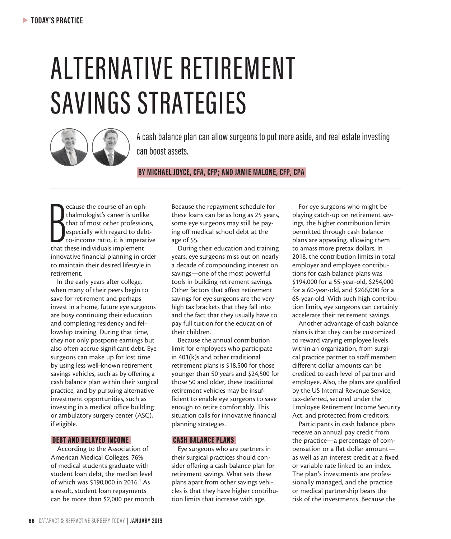# ALTERNATIVE RETIREMENT SAVINGS STRATEGIES



A cash balance plan can allow surgeons to put more aside, and real estate investing can boost assets.

 **BY MICHAEL JOYCE, CFA, CFP; AND JAMIE MALONE, CFP, CPA** 

**Example 2**<br> **Example 18**<br>
that of most other profession especially with regard to det<br>
to-income ratio, it is imperated<br>
that these individuals implement ecause the course of an ophthalmologist's career is unlike that of most other professions, especially with regard to debtto-income ratio, it is imperative innovative financial planning in order to maintain their desired lifestyle in retirement.

In the early years after college, when many of their peers begin to save for retirement and perhaps invest in a home, future eye surgeons are busy continuing their education and completing residency and fellowship training. During that time, they not only postpone earnings but also often accrue significant debt. Eye surgeons can make up for lost time by using less well-known retirement savings vehicles, such as by offering a cash balance plan within their surgical practice, and by pursuing alternative investment opportunities, such as investing in a medical office building or ambulatory surgery center (ASC), if eligible.

### DEBT AND DELAYED INCOME

According to the Association of American Medical Colleges, 76% of medical students graduate with student loan debt, the median level of which was \$190,000 in 2016.<sup>1</sup> As a result, student loan repayments can be more than \$2,000 per month. Because the repayment schedule for these loans can be as long as 25 years, some eye surgeons may still be paying off medical school debt at the age of 55.

During their education and training years, eye surgeons miss out on nearly a decade of compounding interest on savings—one of the most powerful tools in building retirement savings. Other factors that affect retirement savings for eye surgeons are the very high tax brackets that they fall into and the fact that they usually have to pay full tuition for the education of their children.

Because the annual contribution limit for employees who participate in 401(k)s and other traditional retirement plans is \$18,500 for those younger than 50 years and \$24,500 for those 50 and older, these traditional retirement vehicles may be insufficient to enable eye surgeons to save enough to retire comfortably. This situation calls for innovative financial planning strategies.

#### CASH BALANCE PLANS

Eye surgeons who are partners in their surgical practices should consider offering a cash balance plan for retirement savings. What sets these plans apart from other savings vehicles is that they have higher contribution limits that increase with age.

For eye surgeons who might be playing catch-up on retirement savings, the higher contribution limits permitted through cash balance plans are appealing, allowing them to amass more pretax dollars. In 2018, the contribution limits in total employer and employee contributions for cash balance plans was \$194,000 for a 55-year-old, \$254,000 for a 60-year-old, and \$266,000 for a 65-year-old. With such high contribution limits, eye surgeons can certainly accelerate their retirement savings.

Another advantage of cash balance plans is that they can be customized to reward varying employee levels within an organization, from surgical practice partner to staff member; different dollar amounts can be credited to each level of partner and employee. Also, the plans are qualified by the US Internal Revenue Service, tax-deferred, secured under the Employee Retirement Income Security Act, and protected from creditors.

Participants in cash balance plans receive an annual pay credit from the practice—a percentage of compensation or a flat dollar amount as well as an interest credit at a fixed or variable rate linked to an index. The plan's investments are professionally managed, and the practice or medical partnership bears the risk of the investments. Because the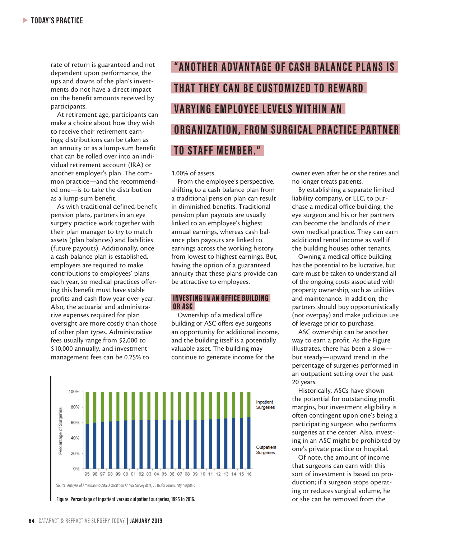rate of return is guaranteed and not dependent upon performance, the ups and downs of the plan's investments do not have a direct impact on the benefit amounts received by participants.

At retirement age, participants can make a choice about how they wish to receive their retirement earnings; distributions can be taken as an annuity or as a lump-sum benefit that can be rolled over into an individual retirement account (IRA) or another employer's plan. The common practice—and the recommended one—is to take the distribution as a lump-sum benefit.

As with traditional defined-benefit pension plans, partners in an eye surgery practice work together with their plan manager to try to match assets (plan balances) and liabilities (future payouts). Additionally, once a cash balance plan is established, employers are required to make contributions to employees' plans each year, so medical practices offering this benefit must have stable profits and cash flow year over year. Also, the actuarial and administrative expenses required for plan oversight are more costly than those of other plan types. Administrative fees usually range from \$2,000 to \$10,000 annually, and investment management fees can be 0.25% to

## **"ANOTHER ADVANTAGE OF CASH BALANCE PLANS IS" THAT THEY CAN BE CUSTOMIZED TO REWARD VARYING EMPLOYEE LEVELS WITHIN AN ORGANIZATION, FROM SURGICAL PRACTICE PARTNER TO STAFF MEMBER."**

1.00% of assets.

From the employee's perspective, shifting to a cash balance plan from a traditional pension plan can result in diminished benefits. Traditional pension plan payouts are usually linked to an employee's highest annual earnings, whereas cash balance plan payouts are linked to earnings across the working history, from lowest to highest earnings. But, having the option of a guaranteed annuity that these plans provide can be attractive to employees.

#### INVESTING IN AN OFFICE BUILDING OR ASC

Ownership of a medical office building or ASC offers eye surgeons an opportunity for additional income, and the building itself is a potentially valuable asset. The building may continue to generate income for the



Figure. Percentage of inpatient versus outpatient surgeries, 1995 to 2016.

owner even after he or she retires and no longer treats patients.

By establishing a separate limited liability company, or LLC, to purchase a medical office building, the eye surgeon and his or her partners can become the landlords of their own medical practice. They can earn additional rental income as well if the building houses other tenants.

Owning a medical office building has the potential to be lucrative, but care must be taken to understand all of the ongoing costs associated with property ownership, such as utilities and maintenance. In addition, the partners should buy opportunistically (not overpay) and make judicious use of leverage prior to purchase.

ASC ownership can be another way to earn a profit. As the Figure illustrates, there has been a slow but steady—upward trend in the percentage of surgeries performed in an outpatient setting over the past 20 years.

Historically, ASCs have shown the potential for outstanding profit margins, but investment eligibility is often contingent upon one's being a participating surgeon who performs surgeries at the center. Also, investing in an ASC might be prohibited by one's private practice or hospital.

Of note, the amount of income that surgeons can earn with this sort of investment is based on production; if a surgeon stops operating or reduces surgical volume, he<br>or she can be removed from the